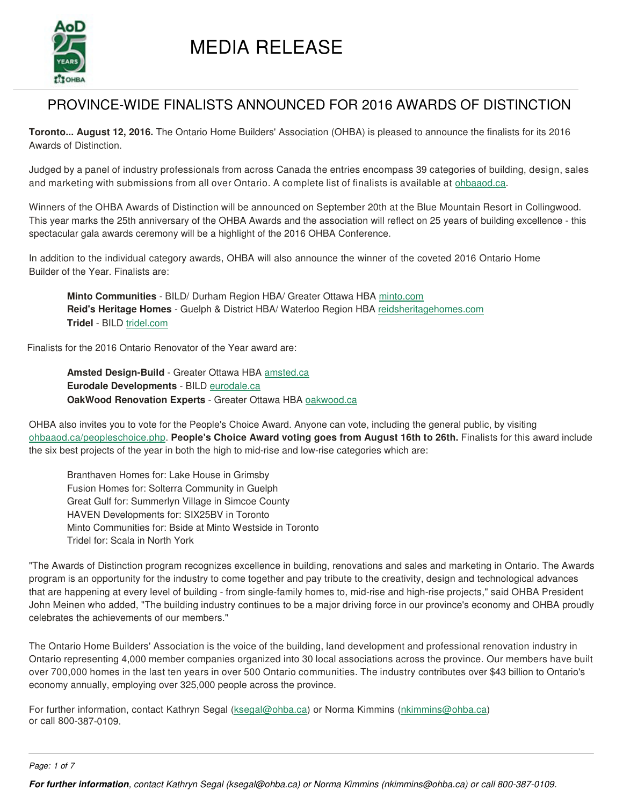

# PROVINCE-WIDE FINALISTS ANNOUNCED FOR 2016 AWARDS OF DISTINCTION

**Toronto... August 12, 2016.** The Ontario Home Builders' Association (OHBA) is pleased to announce the finalists for its 2016 Awards of Distinction.

Judged by a panel of industry professionals from across Canada the entries encompass 39 categories of building, design, sales and marketing with submissions from all over Ontario. A complete list of finalists is available at ohbaaod.ca.

Winners of the OHBA Awards of Distinction will be announced on September 20th at the Blue Mountain Resort in Collingwood. This year marks the 25th anniversary of the OHBA Awards and the association will reflect on 25 years of building excellence - this spectacular gala awards ceremony will be a highlight of the 2016 OHBA Conference.

In addition to the individual category awards, OHBA will also announce the winner of the coveted 2016 Ontario Home Builder of the Year. Finalists are:

**Minto Communities** - BILD/ Durham Region HBA/ Greater Ottawa HBA minto.com **Reid's Heritage Homes** - Guelph & District HBA/ Waterloo Region HBA reidsheritagehomes.com **Tridel** - BILD tridel.com

Finalists for the 2016 Ontario Renovator of the Year award are:

**Amsted Design-Build** - Greater Ottawa HBA amsted.ca **Eurodale Developments** - BILD eurodale.ca **OakWood Renovation Experts** - Greater Ottawa HBA oakwood.ca

OHBA also invites you to vote for the People's Choice Award. Anyone can vote, including the general public, by visiting ohbaaod.ca/peopleschoice.php. **People's Choice Award voting goes from August 16th to 26th.** Finalists for this award include the six best projects of the year in both the high to mid-rise and low-rise categories which are:

Branthaven Homes for: Lake House in Grimsby Fusion Homes for: Solterra Community in Guelph Great Gulf for: Summerlyn Village in Simcoe County HAVEN Developments for: SIX25BV in Toronto Minto Communities for: Bside at Minto Westside in Toronto Tridel for: Scala in North York

"The Awards of Distinction program recognizes excellence in building, renovations and sales and marketing in Ontario. The Awards program is an opportunity for the industry to come together and pay tribute to the creativity, design and technological advances that are happening at every level of building - from single-family homes to, mid-rise and high-rise projects," said OHBA President John Meinen who added, "The building industry continues to be a major driving force in our province's economy and OHBA proudly celebrates the achievements of our members."

The Ontario Home Builders' Association is the voice of the building, land development and professional renovation industry in Ontario representing 4,000 member companies organized into 30 local associations across the province. Our members have built over 700,000 homes in the last ten years in over 500 Ontario communities. The industry contributes over \$43 billion to Ontario's economy annually, employing over 325,000 people across the province.

For further information, contact Kathryn Segal (ksegal@ohba.ca) or Norma Kimmins (nkimmins@ohba.ca) or call 800-387-0109.

*Page: 1 of 7*

**For further information***, contact Kathryn Segal (ksegal@ohba.ca) or Norma Kimmins (nkimmins@ohba.ca) or call 800-387-0109.*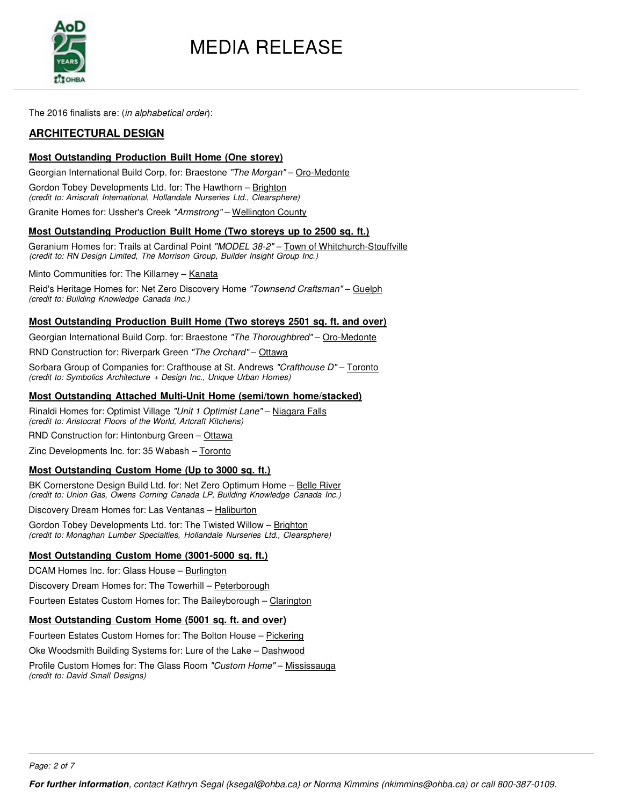

The 2016 finalists are: (*in alphabetical order*):

### **ARCHITECTURAL DESIGN**

#### **Most Outstanding Production Built Home (One storey)**

Georgian International Build Corp. for: Braestone *"The Morgan"* – Oro-Medonte

Gordon Tobey Developments Ltd. for: The Hawthorn – Brighton *(credit to: Arriscraft International, Hollandale Nurseries Ltd., Clearsphere)*

Granite Homes for: Ussher's Creek *"Armstrong"* – Wellington County

#### **Most Outstanding Production Built Home (Two storeys up to 2500 sq. ft.)**

Geranium Homes for: Trails at Cardinal Point *"MODEL 38-2"* – Town of Whitchurch-Stouffville *(credit to: RN Design Limited, The Morrison Group, Builder Insight Group Inc.)*

Minto Communities for: The Killarney - Kanata

Reid's Heritage Homes for: Net Zero Discovery Home *"Townsend Craftsman"* – Guelph *(credit to: Building Knowledge Canada Inc.)*

#### **Most Outstanding Production Built Home (Two storeys 2501 sq. ft. and over)**

Georgian International Build Corp. for: Braestone *"The Thoroughbred"* – Oro-Medonte

RND Construction for: Riverpark Green *"The Orchard"* – Ottawa

Sorbara Group of Companies for: Crafthouse at St. Andrews *"Crafthouse D"* – Toronto *(credit to: Symbolics Architecture + Design Inc., Unique Urban Homes)*

#### **Most Outstanding Attached Multi-Unit Home (semi/town home/stacked)**

Rinaldi Homes for: Optimist Village *"Unit 1 Optimist Lane"* – Niagara Falls *(credit to: Aristocrat Floors of the World, Artcraft Kitchens)*

RND Construction for: Hintonburg Green – Ottawa

Zinc Developments Inc. for: 35 Wabash – Toronto

#### **Most Outstanding Custom Home (Up to 3000 sq. ft.)**

BK Cornerstone Design Build Ltd. for: Net Zero Optimum Home – Belle River *(credit to: Union Gas, Owens Corning Canada LP, Building Knowledge Canada Inc.)*

Discovery Dream Homes for: Las Ventanas – Haliburton

Gordon Tobey Developments Ltd. for: The Twisted Willow - Brighton *(credit to: Monaghan Lumber Specialties, Hollandale Nurseries Ltd., Clearsphere)* 

### **Most Outstanding Custom Home (3001-5000 sq. ft.)**

DCAM Homes Inc. for: Glass House - Burlington

Discovery Dream Homes for: The Towerhill - Peterborough

Fourteen Estates Custom Homes for: The Baileyborough – Clarington

#### **Most Outstanding Custom Home (5001 sq. ft. and over)**

Fourteen Estates Custom Homes for: The Bolton House – Pickering

Oke Woodsmith Building Systems for: Lure of the Lake – Dashwood

Profile Custom Homes for: The Glass Room *"Custom Home"* – Mississauga *(credit to: David Small Designs)*

*Page: 2 of 7*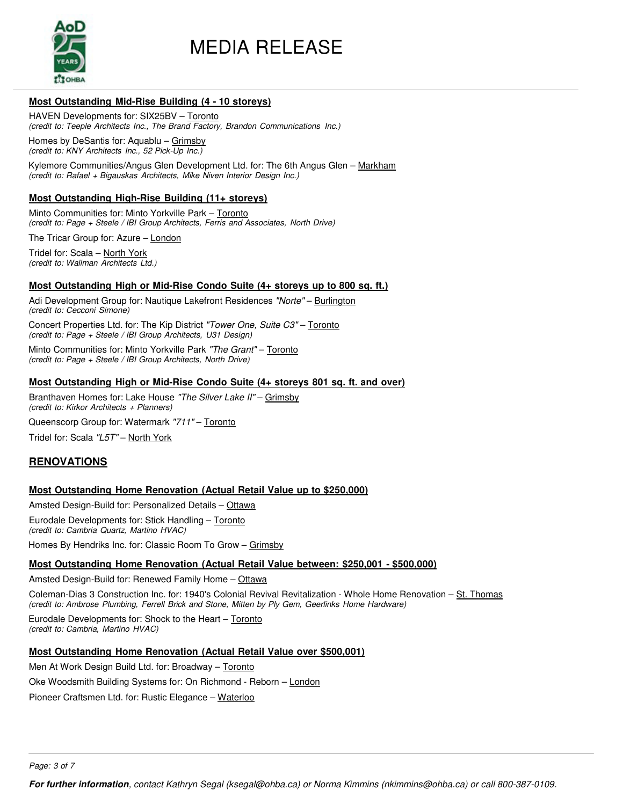

#### **Most Outstanding Mid-Rise Building (4 - 10 storeys)**

HAVEN Developments for: SIX25BV – Toronto *(credit to: Teeple Architects Inc., The Brand Factory, Brandon Communications Inc.)*

Homes by DeSantis for: Aquablu – Grimsby *(credit to: KNY Architects Inc., 52 Pick-Up Inc.)*

Kylemore Communities/Angus Glen Development Ltd. for: The 6th Angus Glen - Markham *(credit to: Rafael + Bigauskas Architects, Mike Niven Interior Design Inc.)*

#### **Most Outstanding High-Rise Building (11+ storeys)**

Minto Communities for: Minto Yorkville Park - Toronto *(credit to: Page + Steele / IBI Group Architects, Ferris and Associates, North Drive)*

The Tricar Group for: Azure – London

Tridel for: Scala – North York *(credit to: Wallman Architects Ltd.)*

#### **Most Outstanding High or Mid-Rise Condo Suite (4+ storeys up to 800 sq. ft.)**

Adi Development Group for: Nautique Lakefront Residences *"Norte"* – Burlington *(credit to: Cecconi Simone)*

Concert Properties Ltd. for: The Kip District *"Tower One, Suite C3"* – Toronto *(credit to: Page + Steele / IBI Group Architects, U31 Design)*

Minto Communities for: Minto Yorkville Park *"The Grant"* – Toronto *(credit to: Page + Steele / IBI Group Architects, North Drive)*

#### **Most Outstanding High or Mid-Rise Condo Suite (4+ storeys 801 sq. ft. and over)**

Branthaven Homes for: Lake House *"The Silver Lake II"* – Grimsby *(credit to: Kirkor Architects + Planners)*

Queenscorp Group for: Watermark *"711"* – Toronto

Tridel for: Scala *"L5T"* – North York

### **RENOVATIONS**

#### **Most Outstanding Home Renovation (Actual Retail Value up to \$250,000)**

Amsted Design-Build for: Personalized Details – Ottawa

Eurodale Developments for: Stick Handling – Toronto *(credit to: Cambria Quartz, Martino HVAC)*

Homes By Hendriks Inc. for: Classic Room To Grow – Grimsby

#### **Most Outstanding Home Renovation (Actual Retail Value between: \$250,001 - \$500,000)**

Amsted Design-Build for: Renewed Family Home – Ottawa

Coleman-Dias 3 Construction Inc. for: 1940's Colonial Revival Revitalization - Whole Home Renovation – St. Thomas *(credit to: Ambrose Plumbing, Ferrell Brick and Stone, Mitten by Ply Gem, Geerlinks Home Hardware)*

Eurodale Developments for: Shock to the Heart – Toronto *(credit to: Cambria, Martino HVAC)*

#### **Most Outstanding Home Renovation (Actual Retail Value over \$500,001)**

Men At Work Design Build Ltd. for: Broadway – Toronto

Oke Woodsmith Building Systems for: On Richmond - Reborn - London

Pioneer Craftsmen Ltd. for: Rustic Elegance – Waterloo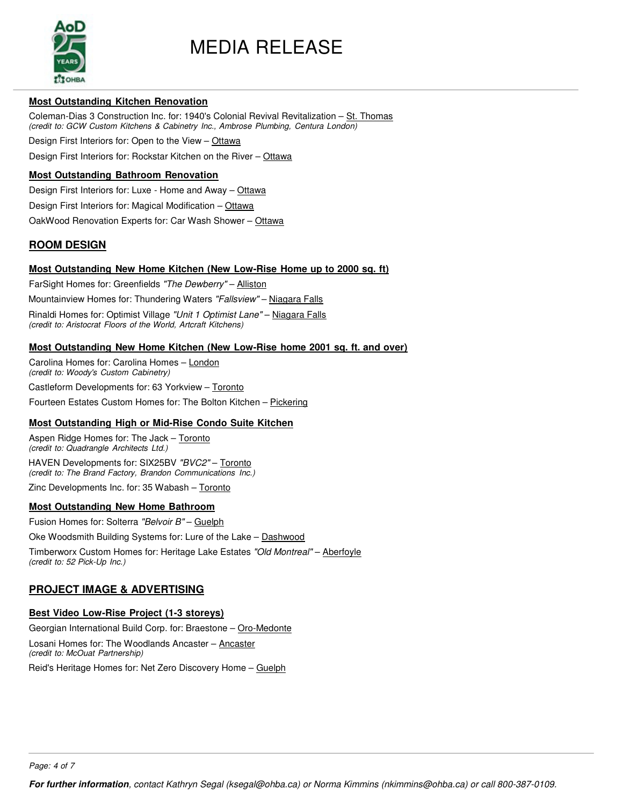

#### **Most Outstanding Kitchen Renovation**

Coleman-Dias 3 Construction Inc. for: 1940's Colonial Revival Revitalization - St. Thomas *(credit to: GCW Custom Kitchens & Cabinetry Inc., Ambrose Plumbing, Centura London)*

Design First Interiors for: Open to the View - Ottawa

Design First Interiors for: Rockstar Kitchen on the River – Ottawa

#### **Most Outstanding Bathroom Renovation**

Design First Interiors for: Luxe - Home and Away - Ottawa

Design First Interiors for: Magical Modification - Ottawa

OakWood Renovation Experts for: Car Wash Shower - Ottawa

### **ROOM DESIGN**

#### **Most Outstanding New Home Kitchen (New Low-Rise Home up to 2000 sq. ft)**

FarSight Homes for: Greenfields *"The Dewberry"* – Alliston

Mountainview Homes for: Thundering Waters *"Fallsview"* – Niagara Falls

Rinaldi Homes for: Optimist Village *"Unit 1 Optimist Lane"* – Niagara Falls

*(credit to: Aristocrat Floors of the World, Artcraft Kitchens)*

#### **Most Outstanding New Home Kitchen (New Low-Rise home 2001 sq. ft. and over)**

Carolina Homes for: Carolina Homes – London *(credit to: Woody's Custom Cabinetry)*

Castleform Developments for: 63 Yorkview – Toronto

Fourteen Estates Custom Homes for: The Bolton Kitchen – Pickering

#### **Most Outstanding High or Mid-Rise Condo Suite Kitchen**

Aspen Ridge Homes for: The Jack – Toronto *(credit to: Quadrangle Architects Ltd.)* HAVEN Developments for: SIX25BV *"BVC2"* – Toronto *(credit to: The Brand Factory, Brandon Communications Inc.)*

Zinc Developments Inc. for: 35 Wabash – Toronto

#### **Most Outstanding New Home Bathroom**

Fusion Homes for: Solterra *"Belvoir B"* – Guelph

Oke Woodsmith Building Systems for: Lure of the Lake - Dashwood

Timberworx Custom Homes for: Heritage Lake Estates *"Old Montreal"* – Aberfoyle *(credit to: 52 Pick-Up Inc.)*

# **PROJECT IMAGE & ADVERTISING**

#### **Best Video Low-Rise Project (1-3 storeys)**

Georgian International Build Corp. for: Braestone – Oro-Medonte

Losani Homes for: The Woodlands Ancaster – Ancaster *(credit to: McOuat Partnership)*

Reid's Heritage Homes for: Net Zero Discovery Home – Guelph

*Page: 4 of 7*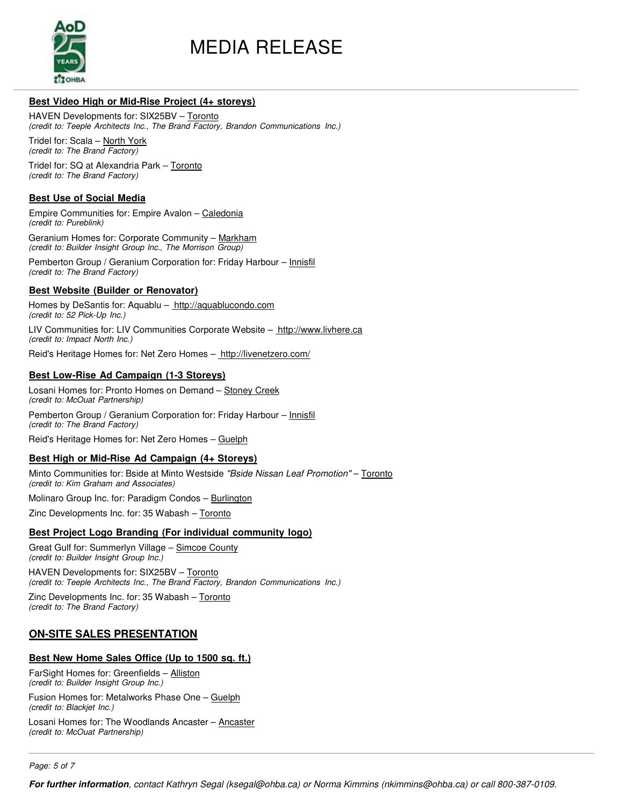

#### **Best Video High or Mid-Rise Project (4+ storeys)**

HAVEN Developments for: SIX25BV – Toronto *(credit to: Teeple Architects Inc., The Brand Factory, Brandon Communications Inc.)*

Tridel for: Scala – North York *(credit to: The Brand Factory)*

Tridel for: SQ at Alexandria Park – Toronto *(credit to: The Brand Factory)*

#### **Best Use of Social Media**

Empire Communities for: Empire Avalon – Caledonia *(credit to: Pureblink)*

Geranium Homes for: Corporate Community – Markham *(credit to: Builder Insight Group Inc., The Morrison Group)*

Pemberton Group / Geranium Corporation for: Friday Harbour - Innisfil *(credit to: The Brand Factory)*

#### **Best Website (Builder or Renovator)**

Homes by DeSantis for: Aquablu - http://aquablucondo.com *(credit to: 52 Pick-Up Inc.)*

LIV Communities for: LIV Communities Corporate Website - http://www.livhere.ca *(credit to: Impact North Inc.)*

Reid's Heritage Homes for: Net Zero Homes – http://livenetzero.com/

#### **Best Low-Rise Ad Campaign (1-3 Storeys)**

Losani Homes for: Pronto Homes on Demand - Stoney Creek *(credit to: McOuat Partnership)*

Pemberton Group / Geranium Corporation for: Friday Harbour – Innisfil *(credit to: The Brand Factory)*

Reid's Heritage Homes for: Net Zero Homes – Guelph

#### **Best High or Mid-Rise Ad Campaign (4+ Storeys)**

Minto Communities for: Bside at Minto Westside *"Bside Nissan Leaf Promotion"* – Toronto *(credit to: Kim Graham and Associates)*

Molinaro Group Inc. for: Paradigm Condos - Burlington

Zinc Developments Inc. for: 35 Wabash - Toronto

#### **Best Project Logo Branding (For individual community logo)**

Great Gulf for: Summerlyn Village – Simcoe County *(credit to: Builder Insight Group Inc.)*

HAVEN Developments for: SIX25BV – Toronto *(credit to: Teeple Architects Inc., The Brand Factory, Brandon Communications Inc.)*

Zinc Developments Inc. for: 35 Wabash - Toronto *(credit to: The Brand Factory)*

# **ON-SITE SALES PRESENTATION**

#### **Best New Home Sales Office (Up to 1500 sq. ft.)**

FarSight Homes for: Greenfields – Alliston *(credit to: Builder Insight Group Inc.)*

Fusion Homes for: Metalworks Phase One – Guelph *(credit to: Blackjet Inc.)*

Losani Homes for: The Woodlands Ancaster – Ancaster *(credit to: McOuat Partnership)*

*Page: 5 of 7*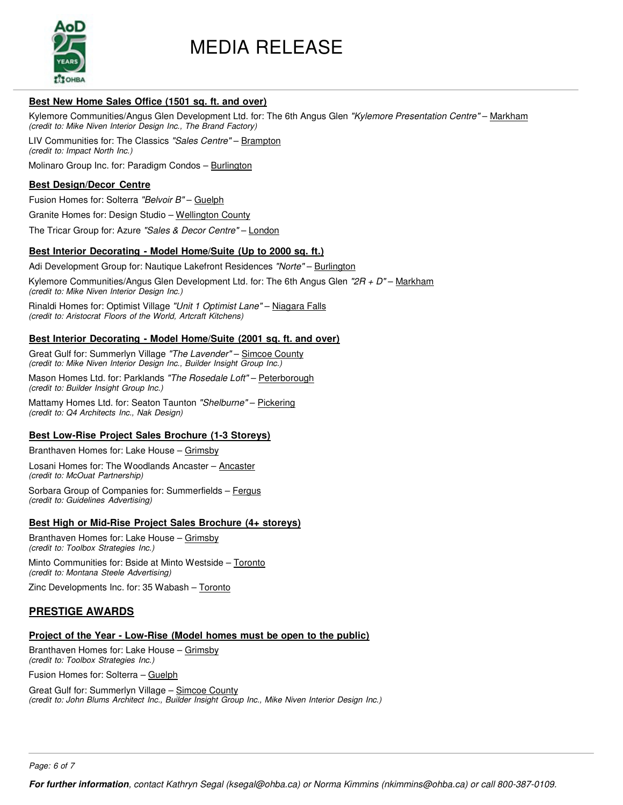

#### **Best New Home Sales Office (1501 sq. ft. and over)**

Kylemore Communities/Angus Glen Development Ltd. for: The 6th Angus Glen *"Kylemore Presentation Centre"* – Markham *(credit to: Mike Niven Interior Design Inc., The Brand Factory)*

LIV Communities for: The Classics *"Sales Centre"* – Brampton *(credit to: Impact North Inc.)*

Molinaro Group Inc. for: Paradigm Condos - Burlington

#### **Best Design/Decor Centre**

Fusion Homes for: Solterra *"Belvoir B"* – Guelph

Granite Homes for: Design Studio – Wellington County

The Tricar Group for: Azure *"Sales & Decor Centre"* – London

#### **Best Interior Decorating - Model Home/Suite (Up to 2000 sq. ft.)**

Adi Development Group for: Nautique Lakefront Residences *"Norte"* – Burlington

Kylemore Communities/Angus Glen Development Ltd. for: The 6th Angus Glen *"2R + D"* – Markham *(credit to: Mike Niven Interior Design Inc.)*

Rinaldi Homes for: Optimist Village *"Unit 1 Optimist Lane"* – Niagara Falls *(credit to: Aristocrat Floors of the World, Artcraft Kitchens)*

#### **Best Interior Decorating - Model Home/Suite (2001 sq. ft. and over)**

Great Gulf for: Summerlyn Village *"The Lavender"* – Simcoe County *(credit to: Mike Niven Interior Design Inc., Builder Insight Group Inc.)*

Mason Homes Ltd. for: Parklands *"The Rosedale Loft"* – Peterborough *(credit to: Builder Insight Group Inc.)*

Mattamy Homes Ltd. for: Seaton Taunton *"Shelburne"* – Pickering *(credit to: Q4 Architects Inc., Nak Design)*

#### **Best Low-Rise Project Sales Brochure (1-3 Storeys)**

Branthaven Homes for: Lake House – Grimsby

Losani Homes for: The Woodlands Ancaster – Ancaster *(credit to: McOuat Partnership)*

Sorbara Group of Companies for: Summerfields – Fergus *(credit to: Guidelines Advertising)*

#### **Best High or Mid-Rise Project Sales Brochure (4+ storeys)**

Branthaven Homes for: Lake House – Grimsby *(credit to: Toolbox Strategies Inc.)*

Minto Communities for: Bside at Minto Westside - Toronto *(credit to: Montana Steele Advertising)*

Zinc Developments Inc. for: 35 Wabash - Toronto

# **PRESTIGE AWARDS**

# **Project of the Year - Low-Rise (Model homes must be open to the public)**

Branthaven Homes for: Lake House – Grimsby *(credit to: Toolbox Strategies Inc.)*

Fusion Homes for: Solterra – Guelph

Great Gulf for: Summerlyn Village – Simcoe County *(credit to: John Blums Architect Inc., Builder Insight Group Inc., Mike Niven Interior Design Inc.)*

*Page: 6 of 7*